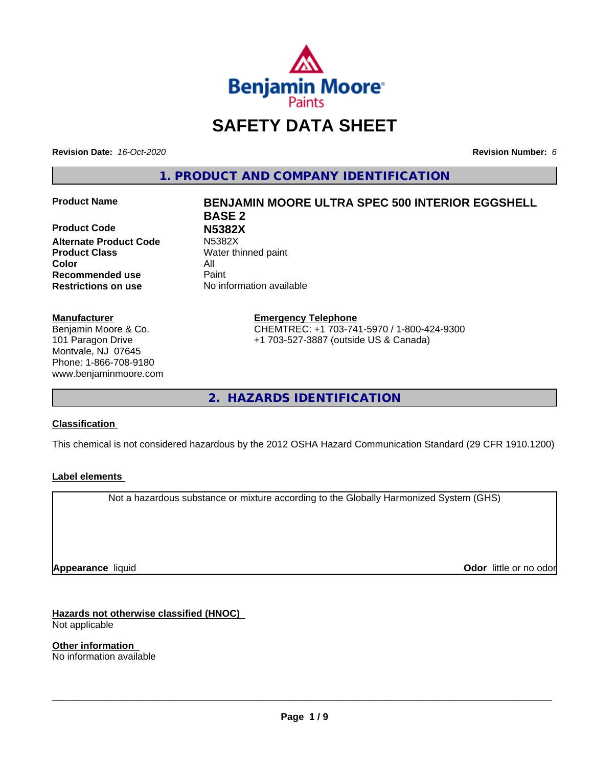

# **SAFETY DATA SHEET**

**Revision Date:** *16-Oct-2020* **Revision Number:** *6*

**1. PRODUCT AND COMPANY IDENTIFICATION**

**Product Code N5382X Alternate Product Code Product Class** Water thinned paint **Color** All **Recommended use** Paint **Restrictions on use** No information available

#### **Manufacturer**

Benjamin Moore & Co. 101 Paragon Drive Montvale, NJ 07645 Phone: 1-866-708-9180 www.benjaminmoore.com

# **Product Name BENJAMIN MOORE ULTRA SPEC 500 INTERIOR EGGSHELL BASE 2**

**Emergency Telephone** CHEMTREC: +1 703-741-5970 / 1-800-424-9300 +1 703-527-3887 (outside US & Canada)

**2. HAZARDS IDENTIFICATION**

#### **Classification**

This chemical is not considered hazardous by the 2012 OSHA Hazard Communication Standard (29 CFR 1910.1200)

#### **Label elements**

Not a hazardous substance or mixture according to the Globally Harmonized System (GHS)

**Appearance** liquid

**Odor** little or no odor

**Hazards not otherwise classified (HNOC)** Not applicable

**Other information** No information available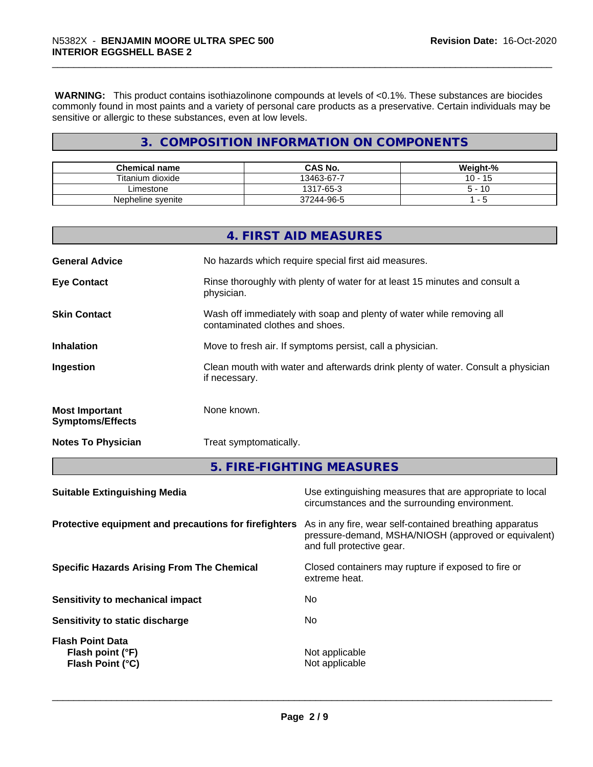**WARNING:** This product contains isothiazolinone compounds at levels of <0.1%. These substances are biocides commonly found in most paints and a variety of personal care products as a preservative. Certain individuals may be sensitive or allergic to these substances, even at low levels.

# **3. COMPOSITION INFORMATION ON COMPONENTS**

| <b>Chemical name</b> | <b>CAS No.</b> | Weight-%             |
|----------------------|----------------|----------------------|
| Titanium dioxide     | 13463-67-7     | $\overline{A}$<br>10 |
| ∟imestone            | 1317-65-3      | -10                  |
| Nepheline syenite    | 37244-96-5     |                      |

|                                                  | 4. FIRST AID MEASURES                                                                                    |
|--------------------------------------------------|----------------------------------------------------------------------------------------------------------|
| <b>General Advice</b>                            | No hazards which require special first aid measures.                                                     |
| <b>Eye Contact</b>                               | Rinse thoroughly with plenty of water for at least 15 minutes and consult a<br>physician.                |
| <b>Skin Contact</b>                              | Wash off immediately with soap and plenty of water while removing all<br>contaminated clothes and shoes. |
| <b>Inhalation</b>                                | Move to fresh air. If symptoms persist, call a physician.                                                |
| Ingestion                                        | Clean mouth with water and afterwards drink plenty of water. Consult a physician<br>if necessary.        |
| <b>Most Important</b><br><b>Symptoms/Effects</b> | None known.                                                                                              |
| <b>Notes To Physician</b>                        | Treat symptomatically.                                                                                   |

**5. FIRE-FIGHTING MEASURES**

| <b>Suitable Extinguishing Media</b>                             | Use extinguishing measures that are appropriate to local<br>circumstances and the surrounding environment.                                   |
|-----------------------------------------------------------------|----------------------------------------------------------------------------------------------------------------------------------------------|
| Protective equipment and precautions for firefighters           | As in any fire, wear self-contained breathing apparatus<br>pressure-demand, MSHA/NIOSH (approved or equivalent)<br>and full protective gear. |
| <b>Specific Hazards Arising From The Chemical</b>               | Closed containers may rupture if exposed to fire or<br>extreme heat.                                                                         |
| Sensitivity to mechanical impact                                | No.                                                                                                                                          |
| Sensitivity to static discharge                                 | No                                                                                                                                           |
| <b>Flash Point Data</b><br>Flash point (°F)<br>Flash Point (°C) | Not applicable<br>Not applicable                                                                                                             |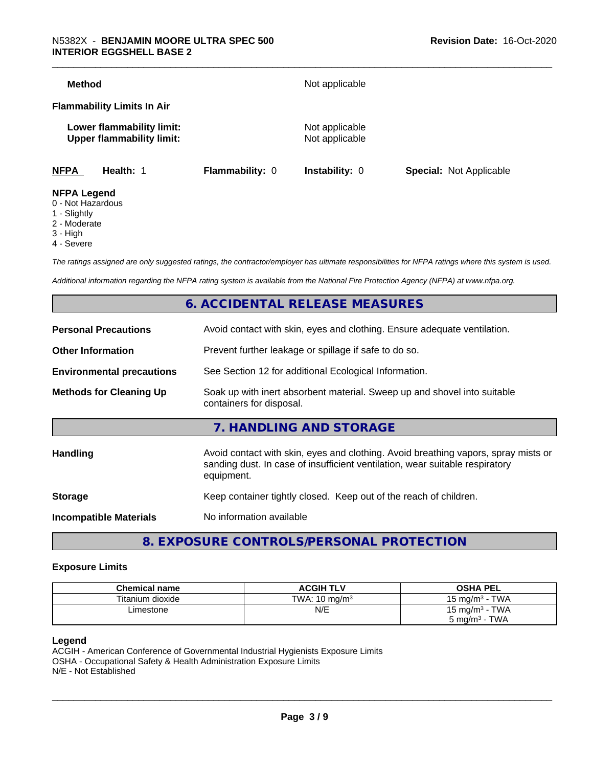| <b>Method</b>                                                 |                        | Not applicable                   |                                |
|---------------------------------------------------------------|------------------------|----------------------------------|--------------------------------|
| <b>Flammability Limits In Air</b>                             |                        |                                  |                                |
| Lower flammability limit:<br><b>Upper flammability limit:</b> |                        | Not applicable<br>Not applicable |                                |
| <b>NFPA</b><br>Health: 1                                      | <b>Flammability: 0</b> | <b>Instability: 0</b>            | <b>Special: Not Applicable</b> |
| <b>NFPA Legend</b><br>- - - - - -                             |                        |                                  |                                |

- 0 Not Hazardous
- 1 Slightly
- 2 Moderate
- 3 High
- 4 Severe

*The ratings assigned are only suggested ratings, the contractor/employer has ultimate responsibilities for NFPA ratings where this system is used.*

*Additional information regarding the NFPA rating system is available from the National Fire Protection Agency (NFPA) at www.nfpa.org.*

## **6. ACCIDENTAL RELEASE MEASURES**

| <b>Personal Precautions</b>      | Avoid contact with skin, eyes and clothing. Ensure adequate ventilation.                                                                                                         |
|----------------------------------|----------------------------------------------------------------------------------------------------------------------------------------------------------------------------------|
| <b>Other Information</b>         | Prevent further leakage or spillage if safe to do so.                                                                                                                            |
| <b>Environmental precautions</b> | See Section 12 for additional Ecological Information.                                                                                                                            |
| <b>Methods for Cleaning Up</b>   | Soak up with inert absorbent material. Sweep up and shovel into suitable<br>containers for disposal.                                                                             |
|                                  | 7. HANDLING AND STORAGE                                                                                                                                                          |
| <b>Handling</b>                  | Avoid contact with skin, eyes and clothing. Avoid breathing vapors, spray mists or<br>sanding dust. In case of insufficient ventilation, wear suitable respiratory<br>equipment. |
| <b>Storage</b>                   | Keep container tightly closed. Keep out of the reach of children.                                                                                                                |
| <b>Incompatible Materials</b>    | No information available                                                                                                                                                         |
|                                  |                                                                                                                                                                                  |

**8. EXPOSURE CONTROLS/PERSONAL PROTECTION**

#### **Exposure Limits**

| <b>Chemical name</b> | <b>ACGIH TLV</b>         | <b>OSHA PEL</b>                   |
|----------------------|--------------------------|-----------------------------------|
| Titanium dioxide     | TWA: $10 \text{ ma/m}^3$ | <b>TWA</b><br>$15 \text{ ma/m}^3$ |
| ∟imestone            | N/E                      | <b>TWA</b><br>$15 \text{ mg/m}^3$ |
|                      |                          | TWA<br>5 mg/m <sup>3</sup> -      |

#### **Legend**

ACGIH - American Conference of Governmental Industrial Hygienists Exposure Limits OSHA - Occupational Safety & Health Administration Exposure Limits N/E - Not Established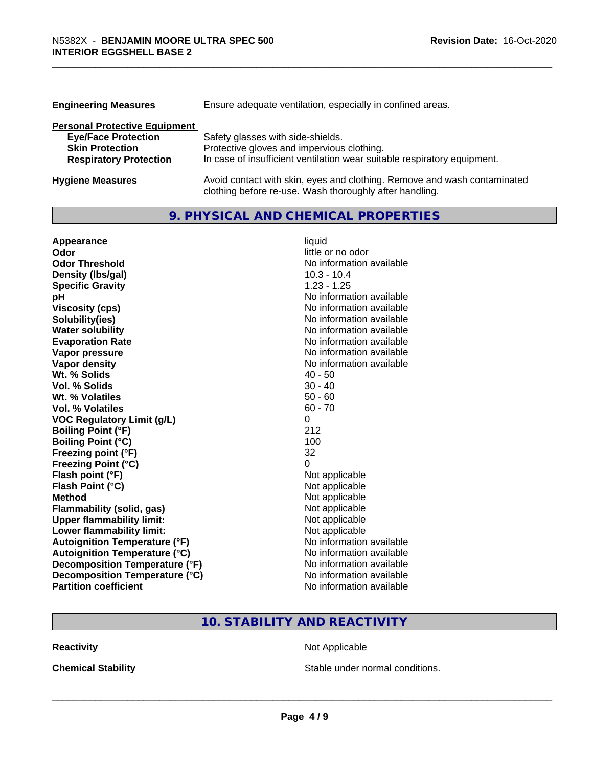| <b>Engineering Measures</b>          | Ensure adequate ventilation, especially in confined areas.               |  |  |
|--------------------------------------|--------------------------------------------------------------------------|--|--|
| <b>Personal Protective Equipment</b> |                                                                          |  |  |
| <b>Eye/Face Protection</b>           | Safety glasses with side-shields.                                        |  |  |
| <b>Skin Protection</b>               | Protective gloves and impervious clothing.                               |  |  |
| <b>Respiratory Protection</b>        | In case of insufficient ventilation wear suitable respiratory equipment. |  |  |
| <b>Hygiene Measures</b>              | Avoid contact with skin, eyes and clothing. Remove and wash contaminated |  |  |

clothing before re-use. Wash thoroughly after handling.

# **9. PHYSICAL AND CHEMICAL PROPERTIES**

| Appearance                           | liquid                   |
|--------------------------------------|--------------------------|
| Odor                                 | little or no odor        |
| <b>Odor Threshold</b>                | No information available |
| Density (Ibs/gal)                    | $10.3 - 10.4$            |
| <b>Specific Gravity</b>              | $1.23 - 1.25$            |
| pH                                   | No information available |
| <b>Viscosity (cps)</b>               | No information available |
| Solubility(ies)                      | No information available |
| <b>Water solubility</b>              | No information available |
| <b>Evaporation Rate</b>              | No information available |
| Vapor pressure                       | No information available |
| <b>Vapor density</b>                 | No information available |
| Wt. % Solids                         | $40 - 50$                |
| Vol. % Solids                        | $30 - 40$                |
| Wt. % Volatiles                      | $50 - 60$                |
| Vol. % Volatiles                     | $60 - 70$                |
| <b>VOC Regulatory Limit (g/L)</b>    | 0                        |
| <b>Boiling Point (°F)</b>            | 212                      |
| <b>Boiling Point (°C)</b>            | 100                      |
| Freezing point (°F)                  | 32                       |
| <b>Freezing Point (°C)</b>           | 0                        |
| Flash point (°F)                     | Not applicable           |
| Flash Point (°C)                     | Not applicable           |
| <b>Method</b>                        | Not applicable           |
| <b>Flammability (solid, gas)</b>     | Not applicable           |
| <b>Upper flammability limit:</b>     | Not applicable           |
| Lower flammability limit:            | Not applicable           |
| <b>Autoignition Temperature (°F)</b> | No information available |
| <b>Autoignition Temperature (°C)</b> | No information available |
| Decomposition Temperature (°F)       | No information available |
| Decomposition Temperature (°C)       | No information available |
| <b>Partition coefficient</b>         | No information available |

# **10. STABILITY AND REACTIVITY**

**Reactivity Not Applicable** Not Applicable

**Chemical Stability Chemical Stability** Stable under normal conditions.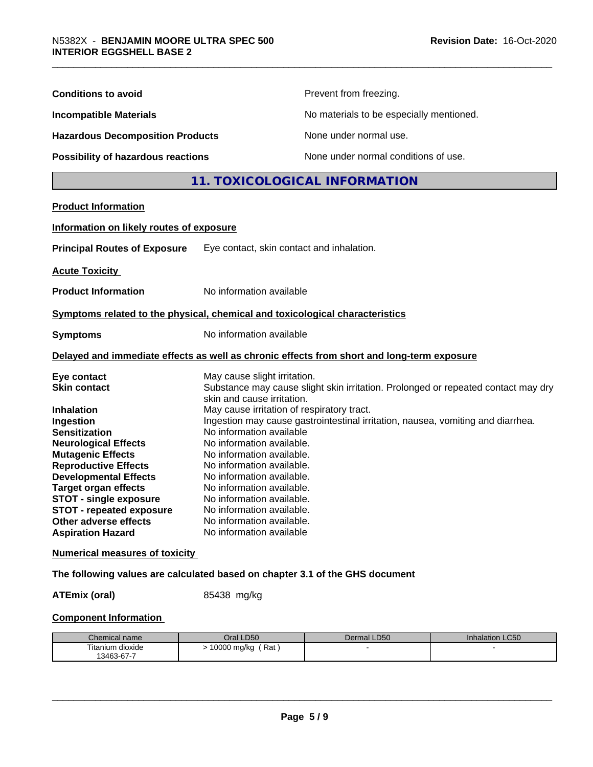| <b>Conditions to avoid</b>                                                                                                                                                                                                                                                                                                                                                     |                                                                                                                                                                                                                                                                                                                                                                                                                                                                                                                                                                                 | Prevent from freezing.                   |                 |
|--------------------------------------------------------------------------------------------------------------------------------------------------------------------------------------------------------------------------------------------------------------------------------------------------------------------------------------------------------------------------------|---------------------------------------------------------------------------------------------------------------------------------------------------------------------------------------------------------------------------------------------------------------------------------------------------------------------------------------------------------------------------------------------------------------------------------------------------------------------------------------------------------------------------------------------------------------------------------|------------------------------------------|-----------------|
| <b>Incompatible Materials</b>                                                                                                                                                                                                                                                                                                                                                  |                                                                                                                                                                                                                                                                                                                                                                                                                                                                                                                                                                                 | No materials to be especially mentioned. |                 |
| <b>Hazardous Decomposition Products</b>                                                                                                                                                                                                                                                                                                                                        |                                                                                                                                                                                                                                                                                                                                                                                                                                                                                                                                                                                 | None under normal use.                   |                 |
| <b>Possibility of hazardous reactions</b>                                                                                                                                                                                                                                                                                                                                      |                                                                                                                                                                                                                                                                                                                                                                                                                                                                                                                                                                                 | None under normal conditions of use.     |                 |
|                                                                                                                                                                                                                                                                                                                                                                                |                                                                                                                                                                                                                                                                                                                                                                                                                                                                                                                                                                                 | 11. TOXICOLOGICAL INFORMATION            |                 |
| <b>Product Information</b>                                                                                                                                                                                                                                                                                                                                                     |                                                                                                                                                                                                                                                                                                                                                                                                                                                                                                                                                                                 |                                          |                 |
| Information on likely routes of exposure                                                                                                                                                                                                                                                                                                                                       |                                                                                                                                                                                                                                                                                                                                                                                                                                                                                                                                                                                 |                                          |                 |
| <b>Principal Routes of Exposure</b>                                                                                                                                                                                                                                                                                                                                            | Eye contact, skin contact and inhalation.                                                                                                                                                                                                                                                                                                                                                                                                                                                                                                                                       |                                          |                 |
| <b>Acute Toxicity</b>                                                                                                                                                                                                                                                                                                                                                          |                                                                                                                                                                                                                                                                                                                                                                                                                                                                                                                                                                                 |                                          |                 |
| <b>Product Information</b>                                                                                                                                                                                                                                                                                                                                                     | No information available                                                                                                                                                                                                                                                                                                                                                                                                                                                                                                                                                        |                                          |                 |
| Symptoms related to the physical, chemical and toxicological characteristics                                                                                                                                                                                                                                                                                                   |                                                                                                                                                                                                                                                                                                                                                                                                                                                                                                                                                                                 |                                          |                 |
| <b>Symptoms</b>                                                                                                                                                                                                                                                                                                                                                                | No information available                                                                                                                                                                                                                                                                                                                                                                                                                                                                                                                                                        |                                          |                 |
| Delayed and immediate effects as well as chronic effects from short and long-term exposure                                                                                                                                                                                                                                                                                     |                                                                                                                                                                                                                                                                                                                                                                                                                                                                                                                                                                                 |                                          |                 |
| Eye contact<br><b>Skin contact</b><br><b>Inhalation</b><br>Ingestion<br><b>Sensitization</b><br><b>Neurological Effects</b><br><b>Mutagenic Effects</b><br><b>Reproductive Effects</b><br><b>Developmental Effects</b><br><b>Target organ effects</b><br><b>STOT - single exposure</b><br><b>STOT - repeated exposure</b><br>Other adverse effects<br><b>Aspiration Hazard</b> | May cause slight irritation.<br>Substance may cause slight skin irritation. Prolonged or repeated contact may dry<br>skin and cause irritation.<br>May cause irritation of respiratory tract.<br>Ingestion may cause gastrointestinal irritation, nausea, vomiting and diarrhea.<br>No information available<br>No information available.<br>No information available.<br>No information available.<br>No information available.<br>No information available.<br>No information available.<br>No information available<br>No information available.<br>No information available |                                          |                 |
| <b>Numerical measures of toxicity</b>                                                                                                                                                                                                                                                                                                                                          |                                                                                                                                                                                                                                                                                                                                                                                                                                                                                                                                                                                 |                                          |                 |
| The following values are calculated based on chapter 3.1 of the GHS document                                                                                                                                                                                                                                                                                                   |                                                                                                                                                                                                                                                                                                                                                                                                                                                                                                                                                                                 |                                          |                 |
| <b>ATEmix (oral)</b>                                                                                                                                                                                                                                                                                                                                                           | 85438 mg/kg                                                                                                                                                                                                                                                                                                                                                                                                                                                                                                                                                                     |                                          |                 |
| <b>Component Information</b>                                                                                                                                                                                                                                                                                                                                                   |                                                                                                                                                                                                                                                                                                                                                                                                                                                                                                                                                                                 |                                          |                 |
| Chemical name                                                                                                                                                                                                                                                                                                                                                                  | Oral LD50                                                                                                                                                                                                                                                                                                                                                                                                                                                                                                                                                                       | Dermal LD50                              | Inhalation LC50 |
| Titanium dioxide<br>13463-67-7                                                                                                                                                                                                                                                                                                                                                 | > 10000 mg/kg (Rat)                                                                                                                                                                                                                                                                                                                                                                                                                                                                                                                                                             |                                          |                 |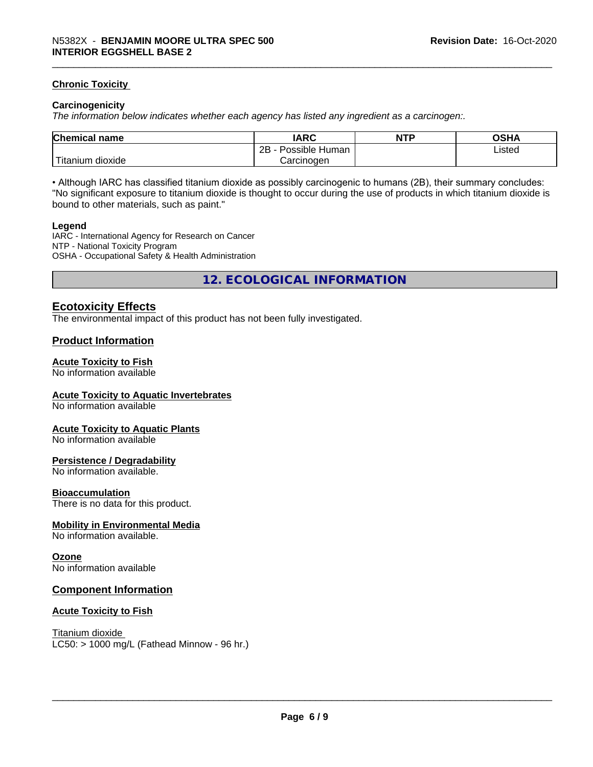#### **Chronic Toxicity**

#### **Carcinogenicity**

*The information below indicateswhether each agency has listed any ingredient as a carcinogen:.*

| <b>Chemical name</b>           | <b>IARC</b>                      | <b>NTP</b> | <b>OCUA</b><br>∪o⊓r |
|--------------------------------|----------------------------------|------------|---------------------|
|                                | . .<br>2B<br>: Human<br>Possible |            | Listed              |
| .<br>dioxide<br><b>itanium</b> | Carcinogen                       |            |                     |

• Although IARC has classified titanium dioxide as possibly carcinogenic to humans (2B), their summary concludes: "No significant exposure to titanium dioxide is thought to occur during the use of products in which titanium dioxide is bound to other materials, such as paint."

#### **Legend**

IARC - International Agency for Research on Cancer NTP - National Toxicity Program OSHA - Occupational Safety & Health Administration

**12. ECOLOGICAL INFORMATION**

#### **Ecotoxicity Effects**

The environmental impact of this product has not been fully investigated.

#### **Product Information**

#### **Acute Toxicity to Fish**

No information available

#### **Acute Toxicity to Aquatic Invertebrates**

No information available

#### **Acute Toxicity to Aquatic Plants**

No information available

#### **Persistence / Degradability**

No information available.

#### **Bioaccumulation**

There is no data for this product.

#### **Mobility in Environmental Media**

No information available.

#### **Ozone**

No information available

#### **Component Information**

#### **Acute Toxicity to Fish**

Titanium dioxide  $LC50:$  > 1000 mg/L (Fathead Minnow - 96 hr.)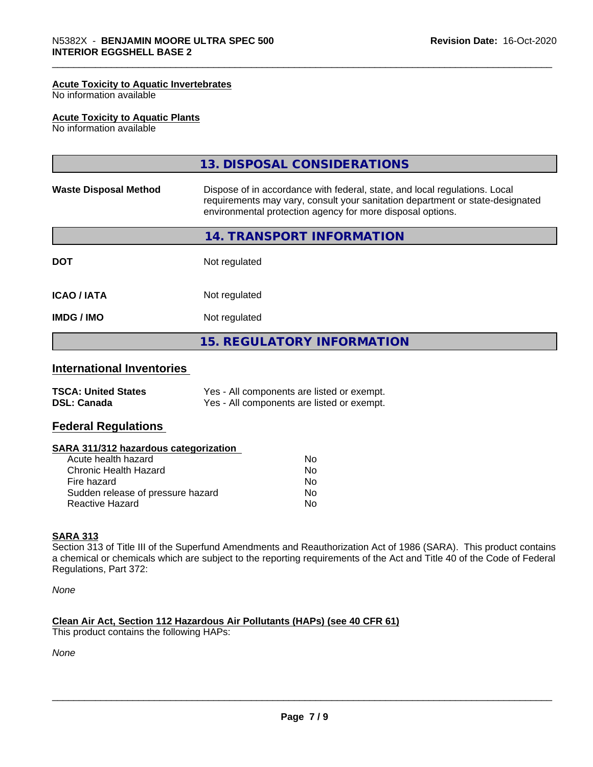#### **Acute Toxicity to Aquatic Invertebrates**

No information available

#### **Acute Toxicity to Aquatic Plants**

No information available

|                              | 13. DISPOSAL CONSIDERATIONS                                                                                                                                                                                               |
|------------------------------|---------------------------------------------------------------------------------------------------------------------------------------------------------------------------------------------------------------------------|
| <b>Waste Disposal Method</b> | Dispose of in accordance with federal, state, and local regulations. Local<br>requirements may vary, consult your sanitation department or state-designated<br>environmental protection agency for more disposal options. |
|                              | 14. TRANSPORT INFORMATION                                                                                                                                                                                                 |
| <b>DOT</b>                   | Not regulated                                                                                                                                                                                                             |
| <b>ICAO/IATA</b>             | Not regulated                                                                                                                                                                                                             |
| <b>IMDG / IMO</b>            | Not regulated                                                                                                                                                                                                             |
|                              | <b>15. REGULATORY INFORMATION</b>                                                                                                                                                                                         |

# **International Inventories**

| <b>TSCA: United States</b> | Yes - All components are listed or exempt. |
|----------------------------|--------------------------------------------|
| <b>DSL: Canada</b>         | Yes - All components are listed or exempt. |

#### **Federal Regulations**

#### **SARA 311/312 hazardous categorization**

| Acute health hazard               | Nο |  |
|-----------------------------------|----|--|
| Chronic Health Hazard             | N٥ |  |
| Fire hazard                       | Nο |  |
| Sudden release of pressure hazard | Nο |  |
| Reactive Hazard                   | Nο |  |

#### **SARA 313**

Section 313 of Title III of the Superfund Amendments and Reauthorization Act of 1986 (SARA). This product contains a chemical or chemicals which are subject to the reporting requirements of the Act and Title 40 of the Code of Federal Regulations, Part 372:

*None*

#### **Clean Air Act,Section 112 Hazardous Air Pollutants (HAPs) (see 40 CFR 61)**

This product contains the following HAPs:

*None*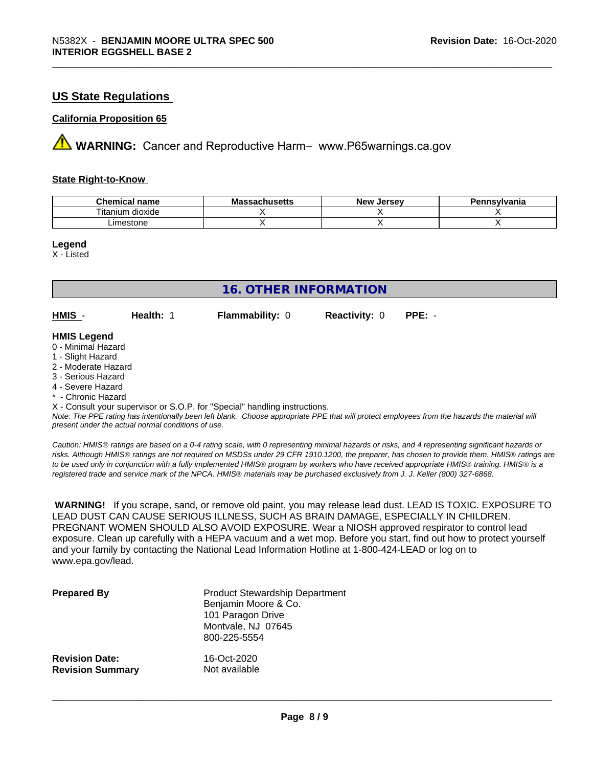## **US State Regulations**

#### **California Proposition 65**

**A** WARNING: Cancer and Reproductive Harm– www.P65warnings.ca.gov

#### **State Right-to-Know**

| Chemical<br>name               | - -<br><u> aaaabuqatta</u><br>IVIA<br><i>J</i> aunuscus | <b>Jersev</b><br><b>Nev</b> | Pennsvlvania |
|--------------------------------|---------------------------------------------------------|-----------------------------|--------------|
| <br>--<br>dioxide<br>. itanium |                                                         |                             |              |
| estone<br>∟imes'               |                                                         |                             |              |

**Legend**

X - Listed

| <b>16. OTHER INFORMATION</b>                                                                                                                                                                                                                                                                                                                                                                                                               |           |                        |                      |          |
|--------------------------------------------------------------------------------------------------------------------------------------------------------------------------------------------------------------------------------------------------------------------------------------------------------------------------------------------------------------------------------------------------------------------------------------------|-----------|------------------------|----------------------|----------|
| HMIS -                                                                                                                                                                                                                                                                                                                                                                                                                                     | Health: 1 | <b>Flammability: 0</b> | <b>Reactivity: 0</b> | $PPE: -$ |
| <b>HMIS Legend</b><br>0 - Minimal Hazard<br>1 - Slight Hazard<br>2 - Moderate Hazard<br>3 - Serious Hazard<br>4 - Severe Hazard<br>* - Chronic Hazard<br>X - Consult your supervisor or S.O.P. for "Special" handling instructions.<br>Note: The PPE rating has intentionally been left blank. Choose appropriate PPE that will protect employees from the hazards the material will<br>present under the actual normal conditions of use. |           |                        |                      |          |

*Caution: HMISÒ ratings are based on a 0-4 rating scale, with 0 representing minimal hazards or risks, and 4 representing significant hazards or risks. Although HMISÒ ratings are not required on MSDSs under 29 CFR 1910.1200, the preparer, has chosen to provide them. HMISÒ ratings are to be used only in conjunction with a fully implemented HMISÒ program by workers who have received appropriate HMISÒ training. HMISÒ is a registered trade and service mark of the NPCA. HMISÒ materials may be purchased exclusively from J. J. Keller (800) 327-6868.*

 **WARNING!** If you scrape, sand, or remove old paint, you may release lead dust. LEAD IS TOXIC. EXPOSURE TO LEAD DUST CAN CAUSE SERIOUS ILLNESS, SUCH AS BRAIN DAMAGE, ESPECIALLY IN CHILDREN. PREGNANT WOMEN SHOULD ALSO AVOID EXPOSURE. Wear a NIOSH approved respirator to control lead exposure. Clean up carefully with a HEPA vacuum and a wet mop. Before you start, find out how to protect yourself and your family by contacting the National Lead Information Hotline at 1-800-424-LEAD or log on to www.epa.gov/lead.

| <b>Prepared By</b>      | <b>Product Stewardship Department</b><br>Benjamin Moore & Co.<br>101 Paragon Drive<br>Montvale, NJ 07645<br>800-225-5554 |
|-------------------------|--------------------------------------------------------------------------------------------------------------------------|
| <b>Revision Date:</b>   | 16-Oct-2020                                                                                                              |
| <b>Revision Summary</b> | Not available                                                                                                            |